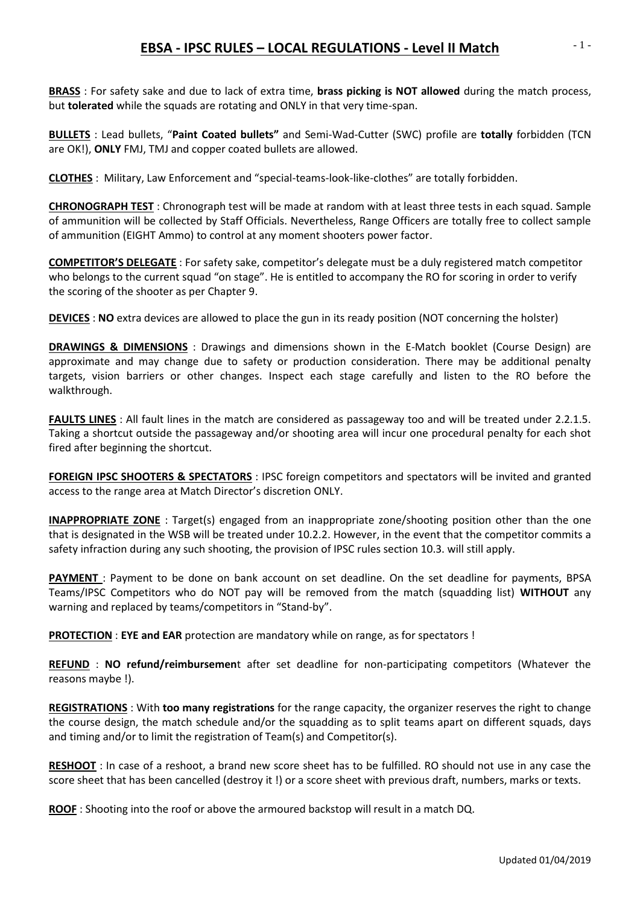## **EBSA - IPSC RULES – LOCAL REGULATIONS - Level II Match**

**BRASS** : For safety sake and due to lack of extra time, **brass picking is NOT allowed** during the match process, but **tolerated** while the squads are rotating and ONLY in that very time-span.

**BULLETS** : Lead bullets, "**Paint Coated bullets"** and Semi-Wad-Cutter (SWC) profile are **totally** forbidden (TCN are OK!), **ONLY** FMJ, TMJ and copper coated bullets are allowed.

**CLOTHES** : Military, Law Enforcement and "special-teams-look-like-clothes" are totally forbidden.

**CHRONOGRAPH TEST** : Chronograph test will be made at random with at least three tests in each squad. Sample of ammunition will be collected by Staff Officials. Nevertheless, Range Officers are totally free to collect sample of ammunition (EIGHT Ammo) to control at any moment shooters power factor.

**COMPETITOR'S DELEGATE** : For safety sake, competitor's delegate must be a duly registered match competitor who belongs to the current squad "on stage". He is entitled to accompany the RO for scoring in order to verify the scoring of the shooter as per Chapter 9.

**DEVICES** : **NO** extra devices are allowed to place the gun in its ready position (NOT concerning the holster)

**DRAWINGS & DIMENSIONS** : Drawings and dimensions shown in the E-Match booklet (Course Design) are approximate and may change due to safety or production consideration. There may be additional penalty targets, vision barriers or other changes. Inspect each stage carefully and listen to the RO before the walkthrough.

**FAULTS LINES** : All fault lines in the match are considered as passageway too and will be treated under 2.2.1.5. Taking a shortcut outside the passageway and/or shooting area will incur one procedural penalty for each shot fired after beginning the shortcut.

**FOREIGN IPSC SHOOTERS & SPECTATORS** : IPSC foreign competitors and spectators will be invited and granted access to the range area at Match Director's discretion ONLY.

**INAPPROPRIATE ZONE** : Target(s) engaged from an inappropriate zone/shooting position other than the one that is designated in the WSB will be treated under 10.2.2. However, in the event that the competitor commits a safety infraction during any such shooting, the provision of IPSC rules section 10.3. will still apply.

**PAYMENT** : Payment to be done on bank account on set deadline. On the set deadline for payments, BPSA Teams/IPSC Competitors who do NOT pay will be removed from the match (squadding list) **WITHOUT** any warning and replaced by teams/competitors in "Stand-by".

**PROTECTION** : **EYE and EAR** protection are mandatory while on range, as for spectators !

**REFUND** : **NO refund/reimbursemen**t after set deadline for non-participating competitors (Whatever the reasons maybe !).

**REGISTRATIONS** : With **too many registrations** for the range capacity, the organizer reserves the right to change the course design, the match schedule and/or the squadding as to split teams apart on different squads, days and timing and/or to limit the registration of Team(s) and Competitor(s).

**RESHOOT** : In case of a reshoot, a brand new score sheet has to be fulfilled. RO should not use in any case the score sheet that has been cancelled (destroy it !) or a score sheet with previous draft, numbers, marks or texts.

**ROOF** : Shooting into the roof or above the armoured backstop will result in a match DQ.